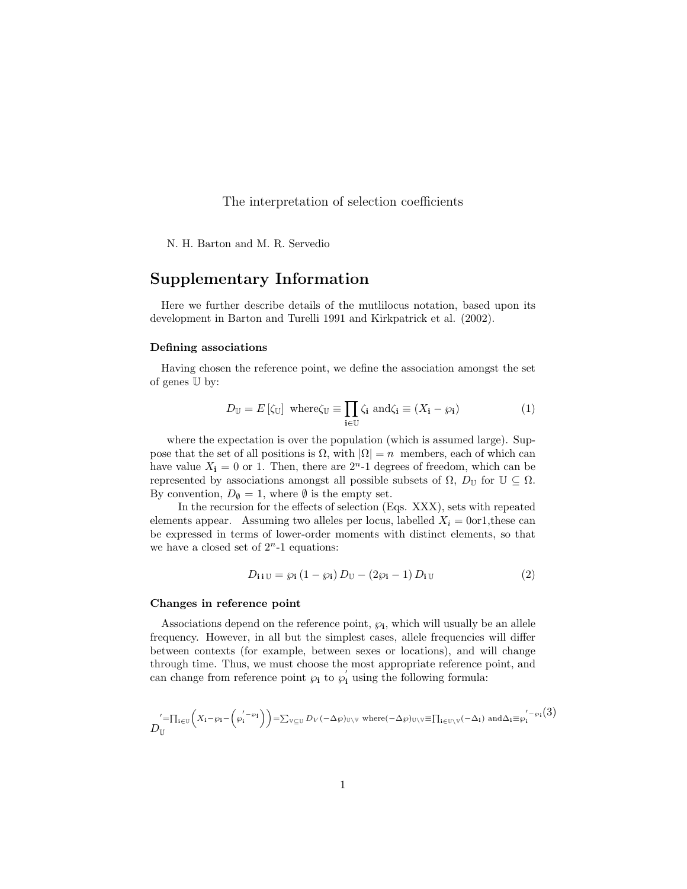The interpretation of selection coefficients

N. H. Barton and M. R. Servedio

# Supplementary Information

Here we further describe details of the mutlilocus notation, based upon its development in Barton and Turelli 1991 and Kirkpatrick et al. (2002).

# Defining associations

Having chosen the reference point, we define the association amongst the set of genes U by:

$$
D_{\mathbb{U}} = E\left[\zeta_{\mathbb{U}}\right] \text{ where } \zeta_{\mathbb{U}} \equiv \prod_{\mathbf{i} \in \mathbb{U}} \zeta_{\mathbf{i}} \text{ and } \zeta_{\mathbf{i}} \equiv (X_{\mathbf{i}} - \wp_{\mathbf{i}}) \tag{1}
$$

where the expectation is over the population (which is assumed large). Suppose that the set of all positions is  $\Omega$ , with  $|\Omega| = n$  members, each of which can have value  $X_i = 0$  or 1. Then, there are  $2<sup>n</sup>$ -1 degrees of freedom, which can be represented by associations amongst all possible subsets of  $\Omega$ ,  $D_{\mathbb{U}}$  for  $\mathbb{U} \subseteq \Omega$ . By convention,  $D_{\emptyset} = 1$ , where  $\emptyset$  is the empty set.

In the recursion for the effects of selection (Eqs. XXX), sets with repeated elements appear. Assuming two alleles per locus, labelled  $X_i = 0$ or1, these can be expressed in terms of lower-order moments with distinct elements, so that we have a closed set of  $2<sup>n</sup>$ -1 equations:

$$
D_{\mathbf{i} \mathbf{i} \mathbf{U}} = \wp_{\mathbf{i}} \left( 1 - \wp_{\mathbf{i}} \right) D_{\mathbf{U}} - \left( 2\wp_{\mathbf{i}} - 1 \right) D_{\mathbf{i} \mathbf{U}} \tag{2}
$$

# Changes in reference point

Associations depend on the reference point,  $\varphi_i$ , which will usually be an allele frequency. However, in all but the simplest cases, allele frequencies will differ between contexts (for example, between sexes or locations), and will change through time. Thus, we must choose the most appropriate reference point, and can change from reference point  $\wp_i$  to  $\wp'_i$  using the following formula:

$$
D_{\mathbb{U}}^{'= \prod_{\mathbf{i}\in\mathbb{U}}\left(X_{\mathbf{i}}-\wp_{\mathbf{i}}-\left(\wp_{\mathbf{i}}^{'-\wp_{\mathbf{i}}}\right)\right)=\sum_{\mathbb{V}\subseteq\mathbb{U}}D_{V}(-\Delta\wp)_{\mathbb{U}\setminus\mathbb{V}} \text{ where } (-\Delta\wp)_{\mathbb{U}\setminus\mathbb{V}}\equiv\Pi_{\mathbf{i}\in\mathbb{U}\setminus\mathbb{V}}(-\Delta_{\mathbf{i}}) \text{ and } \Delta_{\mathbf{i}\equiv\wp_{\mathbf{i}}^{'-\wp_{\mathbf{i}}}}(3)
$$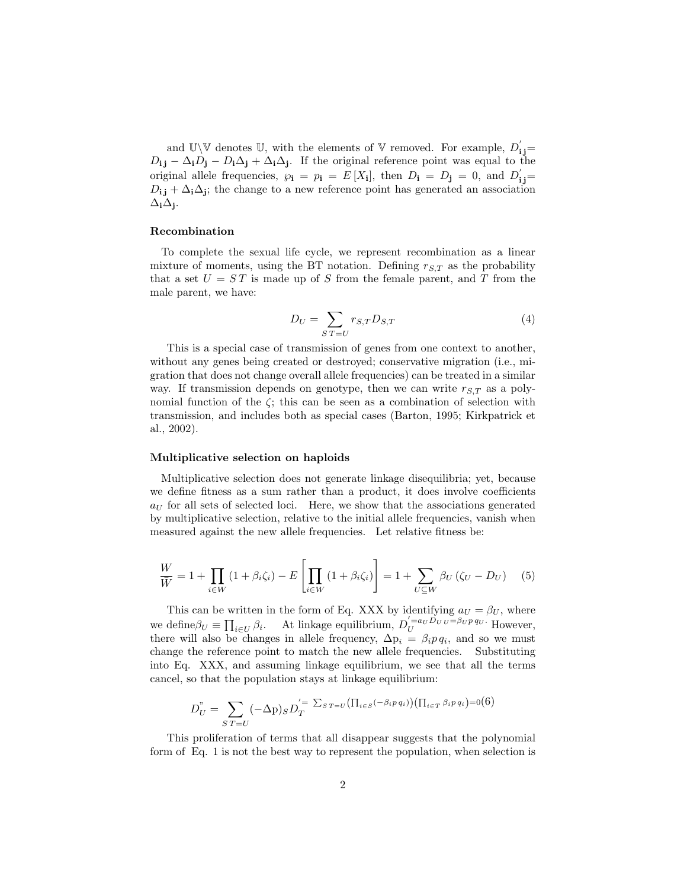and U\V denotes U, with the elements of V removed. For example,  $D'_{\mathbf{i}\, \mathbf{j}} =$  $D_{i,j} - \Delta_i D_j - D_i \Delta_j + \Delta_i \Delta_j$ . If the original reference point was equal to the original allele frequencies,  $\varphi_i = p_i = E[X_i]$ , then  $D_i = D_j = 0$ , and  $D'_{ij} =$  $D_{i,j} + \Delta_i \Delta_j$ ; the change to a new reference point has generated an association  $\Delta_i \Delta_j$ .

### Recombination

To complete the sexual life cycle, we represent recombination as a linear mixture of moments, using the BT notation. Defining  $r_{S,T}$  as the probability that a set  $U = ST$  is made up of S from the female parent, and T from the male parent, we have:

$$
D_U = \sum_{S \, T = U} r_{S,T} D_{S,T} \tag{4}
$$

This is a special case of transmission of genes from one context to another, without any genes being created or destroyed; conservative migration (i.e., migration that does not change overall allele frequencies) can be treated in a similar way. If transmission depends on genotype, then we can write  $r_{S,T}$  as a polynomial function of the  $\zeta$ ; this can be seen as a combination of selection with transmission, and includes both as special cases (Barton, 1995; Kirkpatrick et al., 2002).

#### Multiplicative selection on haploids

Multiplicative selection does not generate linkage disequilibria; yet, because we define fitness as a sum rather than a product, it does involve coefficients  $a_U$  for all sets of selected loci. Here, we show that the associations generated by multiplicative selection, relative to the initial allele frequencies, vanish when measured against the new allele frequencies. Let relative fitness be:

$$
\frac{W}{\overline{W}} = 1 + \prod_{i \in W} (1 + \beta_i \zeta_i) - E \left[ \prod_{i \in W} (1 + \beta_i \zeta_i) \right] = 1 + \sum_{U \subseteq W} \beta_U (\zeta_U - D_U) \tag{5}
$$

This can be written in the form of Eq. XXX by identifying  $a_U = \beta_U$ , where we define  $\beta_U \equiv \prod_{i \in U} \beta_i$ . At linkage equilibrium,  $D_U^{'=a_U D_U U = \beta_U p q_U}$ . However, there will also be changes in allele frequency,  $\Delta p_i = \beta_i p q_i$ , and so we must change the reference point to match the new allele frequencies. Substituting into Eq. XXX, and assuming linkage equilibrium, we see that all the terms cancel, so that the population stays at linkage equilibrium:

$$
D_{U}^{''} = \sum_{ST=U} (-\Delta p)_{S} D_{T}^{'= \sum_{ST=U} (\prod_{i \in S} (-\beta_{i} p q_{i})) (\prod_{i \in T} \beta_{i} p q_{i}) = 0(6)
$$

This proliferation of terms that all disappear suggests that the polynomial form of Eq. 1 is not the best way to represent the population, when selection is